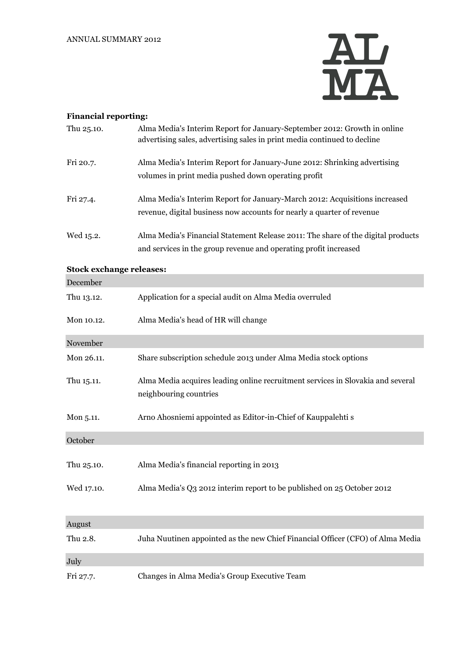

## **Financial reporting:**

| Thu 25.10.                      | Alma Media's Interim Report for January-September 2012: Growth in online<br>advertising sales, advertising sales in print media continued to decline |
|---------------------------------|------------------------------------------------------------------------------------------------------------------------------------------------------|
| Fri 20.7.                       | Alma Media's Interim Report for January-June 2012: Shrinking advertising<br>volumes in print media pushed down operating profit                      |
| Fri 27.4.                       | Alma Media's Interim Report for January-March 2012: Acquisitions increased<br>revenue, digital business now accounts for nearly a quarter of revenue |
| Wed 15.2.                       | Alma Media's Financial Statement Release 2011: The share of the digital products<br>and services in the group revenue and operating profit increased |
| <b>Stock exchange releases:</b> |                                                                                                                                                      |
| December                        |                                                                                                                                                      |
| Thu 13.12.                      | Application for a special audit on Alma Media overruled                                                                                              |
| Mon 10.12.                      | Alma Media's head of HR will change                                                                                                                  |
| November                        |                                                                                                                                                      |
| Mon 26.11.                      | Share subscription schedule 2013 under Alma Media stock options                                                                                      |
| Thu 15.11.                      | Alma Media acquires leading online recruitment services in Slovakia and several<br>neighbouring countries                                            |
| Mon 5.11.                       | Arno Ahosniemi appointed as Editor-in-Chief of Kauppalehti s                                                                                         |
| October                         |                                                                                                                                                      |
| Thu 25.10.                      | Alma Media's financial reporting in 2013                                                                                                             |
| Wed 17.10.                      | Alma Media's Q3 2012 interim report to be published on 25 October 2012                                                                               |
| August                          |                                                                                                                                                      |
| Thu 2.8.                        | Juha Nuutinen appointed as the new Chief Financial Officer (CFO) of Alma Media                                                                       |
| July                            |                                                                                                                                                      |
| Fri 27.7.                       | Changes in Alma Media's Group Executive Team                                                                                                         |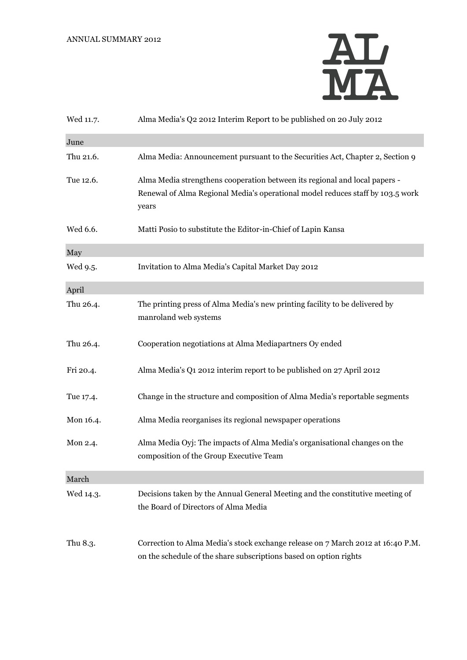

| Wed 11.7. | Alma Media's Q2 2012 Interim Report to be published on 20 July 2012                                                                                                   |
|-----------|-----------------------------------------------------------------------------------------------------------------------------------------------------------------------|
| June      |                                                                                                                                                                       |
| Thu 21.6. | Alma Media: Announcement pursuant to the Securities Act, Chapter 2, Section 9                                                                                         |
| Tue 12.6. | Alma Media strengthens cooperation between its regional and local papers -<br>Renewal of Alma Regional Media's operational model reduces staff by 103.5 work<br>years |
| Wed 6.6.  | Matti Posio to substitute the Editor-in-Chief of Lapin Kansa                                                                                                          |
| May       |                                                                                                                                                                       |
| Wed 9.5.  | Invitation to Alma Media's Capital Market Day 2012                                                                                                                    |
| April     |                                                                                                                                                                       |
| Thu 26.4. | The printing press of Alma Media's new printing facility to be delivered by<br>manroland web systems                                                                  |
| Thu 26.4. | Cooperation negotiations at Alma Mediapartners Oy ended                                                                                                               |
| Fri 20.4. | Alma Media's Q1 2012 interim report to be published on 27 April 2012                                                                                                  |
| Tue 17.4. | Change in the structure and composition of Alma Media's reportable segments                                                                                           |
| Mon 16.4. | Alma Media reorganises its regional newspaper operations                                                                                                              |
| Mon 2.4.  | Alma Media Oyj: The impacts of Alma Media's organisational changes on the<br>composition of the Group Executive Team                                                  |
| March     |                                                                                                                                                                       |
| Wed 14.3. | Decisions taken by the Annual General Meeting and the constitutive meeting of<br>the Board of Directors of Alma Media                                                 |
| Thu 8.3.  | Correction to Alma Media's stock exchange release on 7 March 2012 at 16:40 P.M.<br>on the schedule of the share subscriptions based on option rights                  |